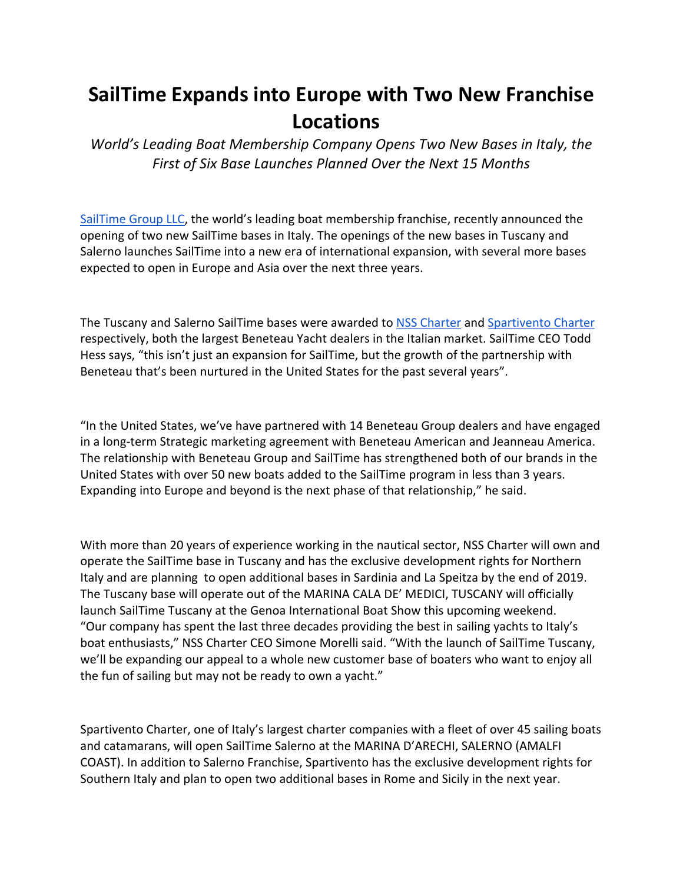## **SailTime Expands into Europe with Two New Franchise Locations**

*World's Leading Boat Membership Company Opens Two New Bases in Italy, the First of Six Base Launches Planned Over the Next 15 Months*

SailTime Group LLC, the world's leading boat membership franchise, recently announced the opening of two new SailTime bases in Italy. The openings of the new bases in Tuscany and Salerno launches SailTime into a new era of international expansion, with several more bases expected to open in Europe and Asia over the next three years.

The Tuscany and Salerno SailTime bases were awarded to NSS Charter and Spartivento Charter respectively, both the largest Beneteau Yacht dealers in the Italian market. SailTime CEO Todd Hess says, "this isn't just an expansion for SailTime, but the growth of the partnership with Beneteau that's been nurtured in the United States for the past several years".

"In the United States, we've have partnered with 14 Beneteau Group dealers and have engaged in a long-term Strategic marketing agreement with Beneteau American and Jeanneau America. The relationship with Beneteau Group and SailTime has strengthened both of our brands in the United States with over 50 new boats added to the SailTime program in less than 3 years. Expanding into Europe and beyond is the next phase of that relationship," he said.

With more than 20 years of experience working in the nautical sector, NSS Charter will own and operate the SailTime base in Tuscany and has the exclusive development rights for Northern Italy and are planning to open additional bases in Sardinia and La Speitza by the end of 2019. The Tuscany base will operate out of the MARINA CALA DE' MEDICI, TUSCANY will officially launch SailTime Tuscany at the Genoa International Boat Show this upcoming weekend. "Our company has spent the last three decades providing the best in sailing yachts to Italy's boat enthusiasts," NSS Charter CEO Simone Morelli said. "With the launch of SailTime Tuscany, we'll be expanding our appeal to a whole new customer base of boaters who want to enjoy all the fun of sailing but may not be ready to own a yacht."

Spartivento Charter, one of Italy's largest charter companies with a fleet of over 45 sailing boats and catamarans, will open SailTime Salerno at the MARINA D'ARECHI, SALERNO (AMALFI COAST). In addition to Salerno Franchise, Spartivento has the exclusive development rights for Southern Italy and plan to open two additional bases in Rome and Sicily in the next year.